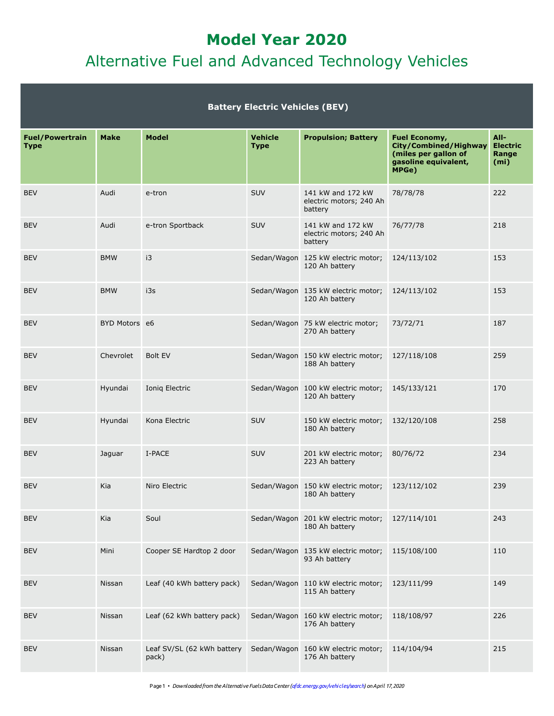# **Model Year 2020** Alternative Fuel and Advanced Technology Vehicles

|                                       |               |                                     | <b>Battery Electric Vehicles (BEV)</b> |                                                         |                                                                                                 |                                                       |
|---------------------------------------|---------------|-------------------------------------|----------------------------------------|---------------------------------------------------------|-------------------------------------------------------------------------------------------------|-------------------------------------------------------|
| <b>Fuel/Powertrain</b><br><b>Type</b> | <b>Make</b>   | <b>Model</b>                        | <b>Vehicle</b><br><b>Type</b>          | <b>Propulsion; Battery</b>                              | Fuel Economy,<br>City/Combined/Highway<br>(miles per gallon of<br>gasoline equivalent,<br>MPGe) | All-<br><b>Electric</b><br>Range<br>(m <sub>i</sub> ) |
| <b>BEV</b>                            | Audi          | e-tron                              | <b>SUV</b>                             | 141 kW and 172 kW<br>electric motors; 240 Ah<br>battery | 78/78/78                                                                                        | 222                                                   |
| <b>BEV</b>                            | Audi          | e-tron Sportback                    | <b>SUV</b>                             | 141 kW and 172 kW<br>electric motors; 240 Ah<br>battery | 76/77/78                                                                                        | 218                                                   |
| <b>BEV</b>                            | <b>BMW</b>    | i3                                  |                                        | Sedan/Wagon 125 kW electric motor;<br>120 Ah battery    | 124/113/102                                                                                     | 153                                                   |
| <b>BEV</b>                            | <b>BMW</b>    | i3s                                 |                                        | Sedan/Wagon 135 kW electric motor;<br>120 Ah battery    | 124/113/102                                                                                     | 153                                                   |
| <b>BEV</b>                            | BYD Motors e6 |                                     |                                        | Sedan/Wagon 75 kW electric motor;<br>270 Ah battery     | 73/72/71                                                                                        | 187                                                   |
| <b>BEV</b>                            | Chevrolet     | <b>Bolt EV</b>                      |                                        | Sedan/Wagon 150 kW electric motor;<br>188 Ah battery    | 127/118/108                                                                                     | 259                                                   |
| <b>BEV</b>                            | Hyundai       | Ionig Electric                      |                                        | Sedan/Wagon 100 kW electric motor;<br>120 Ah battery    | 145/133/121                                                                                     | 170                                                   |
| <b>BEV</b>                            | Hyundai       | Kona Electric                       | <b>SUV</b>                             | 150 kW electric motor;<br>180 Ah battery                | 132/120/108                                                                                     | 258                                                   |
| <b>BEV</b>                            | Jaguar        | I-PACE                              | <b>SUV</b>                             | 201 kW electric motor;<br>223 Ah battery                | 80/76/72                                                                                        | 234                                                   |
| <b>BEV</b>                            | Kia           | Niro Electric                       |                                        | Sedan/Wagon 150 kW electric motor;<br>180 Ah battery    | 123/112/102                                                                                     | 239                                                   |
| <b>BEV</b>                            | Kia           | Soul                                |                                        | Sedan/Wagon 201 kW electric motor;<br>180 Ah battery    | 127/114/101                                                                                     | 243                                                   |
| <b>BEV</b>                            | Mini          | Cooper SE Hardtop 2 door            |                                        | Sedan/Wagon 135 kW electric motor;<br>93 Ah battery     | 115/108/100                                                                                     | 110                                                   |
| <b>BEV</b>                            | <b>Nissan</b> | Leaf (40 kWh battery pack)          |                                        | Sedan/Wagon 110 kW electric motor;<br>115 Ah battery    | 123/111/99                                                                                      | 149                                                   |
| <b>BEV</b>                            | <b>Nissan</b> | Leaf (62 kWh battery pack)          |                                        | Sedan/Wagon 160 kW electric motor;<br>176 Ah battery    | 118/108/97                                                                                      | 226                                                   |
| <b>BEV</b>                            | Nissan        | Leaf SV/SL (62 kWh battery<br>pack) |                                        | Sedan/Wagon 160 kW electric motor;<br>176 Ah battery    | 114/104/94                                                                                      | 215                                                   |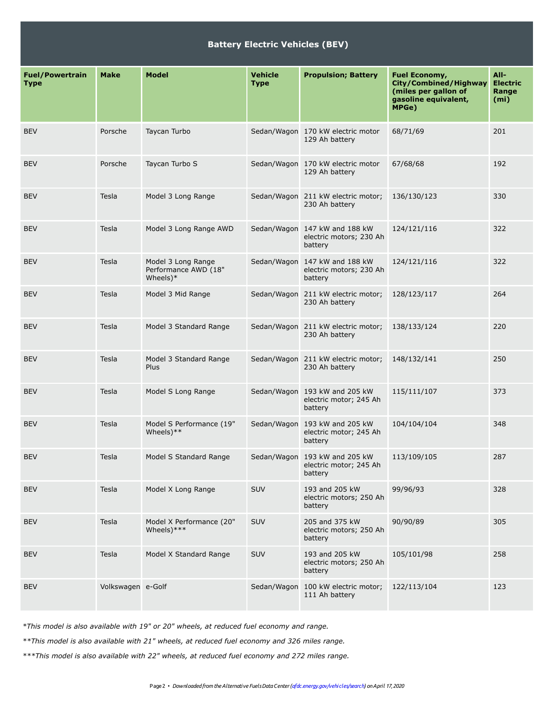#### **Battery Electric Vehicles (BEV)**

| <b>Fuel/Powertrain</b><br><b>Type</b> | <b>Make</b>       | <b>Model</b>                                              | <b>Vehicle</b><br><b>Type</b> | <b>Propulsion; Battery</b>                                          | <b>Fuel Economy,</b><br>City/Combined/Highway<br>(miles per gallon of<br>gasoline equivalent,<br>MPGe) | $All-$<br><b>Electric</b><br>Range<br>(m <sub>i</sub> ) |
|---------------------------------------|-------------------|-----------------------------------------------------------|-------------------------------|---------------------------------------------------------------------|--------------------------------------------------------------------------------------------------------|---------------------------------------------------------|
| <b>BEV</b>                            | Porsche           | Taycan Turbo                                              |                               | Sedan/Wagon 170 kW electric motor<br>129 Ah battery                 | 68/71/69                                                                                               | 201                                                     |
| <b>BEV</b>                            | Porsche           | Taycan Turbo S                                            |                               | Sedan/Wagon 170 kW electric motor<br>129 Ah battery                 | 67/68/68                                                                                               | 192                                                     |
| <b>BEV</b>                            | Tesla             | Model 3 Long Range                                        |                               | Sedan/Wagon 211 kW electric motor;<br>230 Ah battery                | 136/130/123                                                                                            | 330                                                     |
| <b>BEV</b>                            | Tesla             | Model 3 Long Range AWD                                    |                               | Sedan/Wagon 147 kW and 188 kW<br>electric motors; 230 Ah<br>battery | 124/121/116                                                                                            | 322                                                     |
| <b>BEV</b>                            | Tesla             | Model 3 Long Range<br>Performance AWD (18"<br>Wheels $)*$ |                               | Sedan/Wagon 147 kW and 188 kW<br>electric motors; 230 Ah<br>battery | 124/121/116                                                                                            | 322                                                     |
| <b>BEV</b>                            | Tesla             | Model 3 Mid Range                                         |                               | Sedan/Wagon 211 kW electric motor;<br>230 Ah battery                | 128/123/117                                                                                            | 264                                                     |
| <b>BEV</b>                            | Tesla             | Model 3 Standard Range                                    |                               | Sedan/Wagon 211 kW electric motor;<br>230 Ah battery                | 138/133/124                                                                                            | 220                                                     |
| <b>BEV</b>                            | Tesla             | Model 3 Standard Range<br>Plus                            |                               | Sedan/Wagon 211 kW electric motor;<br>230 Ah battery                | 148/132/141                                                                                            | 250                                                     |
| <b>BEV</b>                            | Tesla             | Model S Long Range                                        |                               | Sedan/Wagon 193 kW and 205 kW<br>electric motor; 245 Ah<br>battery  | 115/111/107                                                                                            | 373                                                     |
| <b>BEV</b>                            | Tesla             | Model S Performance (19"<br>Wheels $)**$                  |                               | Sedan/Wagon 193 kW and 205 kW<br>electric motor; 245 Ah<br>battery  | 104/104/104                                                                                            | 348                                                     |
| <b>BEV</b>                            | Tesla             | Model S Standard Range                                    |                               | Sedan/Wagon 193 kW and 205 kW<br>electric motor; 245 Ah<br>battery  | 113/109/105                                                                                            | 287                                                     |
| <b>BEV</b>                            | Tesla             | Model X Long Range                                        | SUV                           | 193 and 205 kW<br>electric motors; 250 Ah<br>battery                | 99/96/93                                                                                               | 328                                                     |
| <b>BEV</b>                            | Tesla             | Model X Performance (20"<br>Wheels $)****$                | SUV                           | 205 and 375 kW<br>electric motors; 250 Ah<br>battery                | 90/90/89                                                                                               | 305                                                     |
| <b>BEV</b>                            | Tesla             | Model X Standard Range                                    | SUV                           | 193 and 205 kW<br>electric motors; 250 Ah<br>battery                | 105/101/98                                                                                             | 258                                                     |
| <b>BEV</b>                            | Volkswagen e-Golf |                                                           | Sedan/Wagon                   | 100 kW electric motor;<br>111 Ah battery                            | 122/113/104                                                                                            | 123                                                     |

*\*This model is also available with 19" or 20" wheels, at reduced fuel economy and range.*

*\*\*This model is also available with 21" wheels, at reduced fuel economy and 326 miles range.*

*\*\*\*This model is also available with 22" wheels, at reduced fuel economy and 272 miles range.*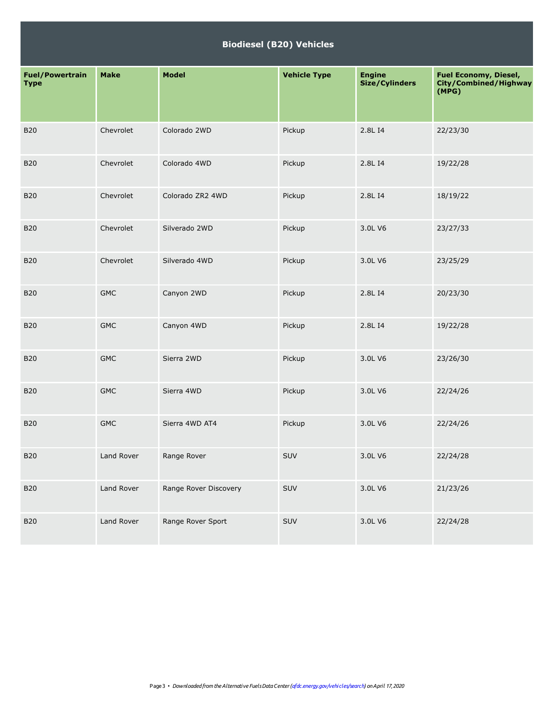#### **Biodiesel (B20) Vehicles**

| <b>Fuel/Powertrain</b><br><b>Type</b> | <b>Make</b> | <b>Model</b>          | <b>Vehicle Type</b> | <b>Engine</b><br>Size/Cylinders | <b>Fuel Economy, Diesel,</b><br>City/Combined/Highway<br>(MPG) |
|---------------------------------------|-------------|-----------------------|---------------------|---------------------------------|----------------------------------------------------------------|
| <b>B20</b>                            | Chevrolet   | Colorado 2WD          | Pickup              | 2.8L I4                         | 22/23/30                                                       |
| <b>B20</b>                            | Chevrolet   | Colorado 4WD          | Pickup              | 2.8L I4                         | 19/22/28                                                       |
| <b>B20</b>                            | Chevrolet   | Colorado ZR2 4WD      | Pickup              | 2.8L I4                         | 18/19/22                                                       |
| <b>B20</b>                            | Chevrolet   | Silverado 2WD         | Pickup              | 3.0L V6                         | 23/27/33                                                       |
| <b>B20</b>                            | Chevrolet   | Silverado 4WD         | Pickup              | 3.0L V6                         | 23/25/29                                                       |
| <b>B20</b>                            | <b>GMC</b>  | Canyon 2WD            | Pickup              | 2.8L I4                         | 20/23/30                                                       |
| <b>B20</b>                            | <b>GMC</b>  | Canyon 4WD            | Pickup              | 2.8L I4                         | 19/22/28                                                       |
| <b>B20</b>                            | <b>GMC</b>  | Sierra 2WD            | Pickup              | 3.0L V6                         | 23/26/30                                                       |
| <b>B20</b>                            | <b>GMC</b>  | Sierra 4WD            | Pickup              | 3.0L V6                         | 22/24/26                                                       |
| <b>B20</b>                            | <b>GMC</b>  | Sierra 4WD AT4        | Pickup              | 3.0L V6                         | 22/24/26                                                       |
| <b>B20</b>                            | Land Rover  | Range Rover           | SUV                 | 3.0L V6                         | 22/24/28                                                       |
| <b>B20</b>                            | Land Rover  | Range Rover Discovery | SUV                 | 3.0L V6                         | 21/23/26                                                       |
| <b>B20</b>                            | Land Rover  | Range Rover Sport     | SUV                 | 3.0L V6                         | 22/24/28                                                       |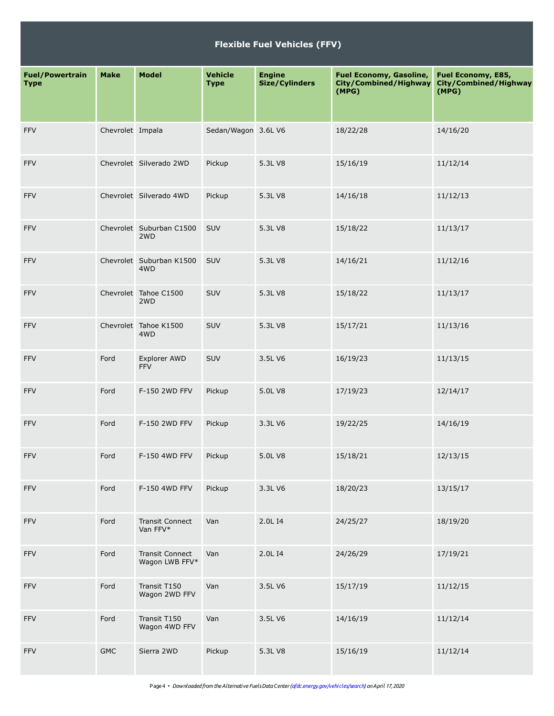#### **Flexible Fuel Vehicles (FFV)**

| <b>Fuel/Powertrain</b><br><b>Type</b> | <b>Make</b>      | <b>Model</b>                             | Vehicle<br><b>Type</b> | <b>Engine</b><br><b>Size/Cylinders</b> | Fuel Economy, Gasoline,<br>City/Combined/Highway<br>(MPG) | Fuel Economy, E85,<br>City/Combined/Highway<br>(MPG) |
|---------------------------------------|------------------|------------------------------------------|------------------------|----------------------------------------|-----------------------------------------------------------|------------------------------------------------------|
| <b>FFV</b>                            | Chevrolet Impala |                                          | Sedan/Wagon 3.6L V6    |                                        | 18/22/28                                                  | 14/16/20                                             |
| FFV                                   |                  | Chevrolet Silverado 2WD                  | Pickup                 | 5.3L V8                                | 15/16/19                                                  | 11/12/14                                             |
| FFV                                   |                  | Chevrolet Silverado 4WD                  | Pickup                 | 5.3L V8                                | 14/16/18                                                  | 11/12/13                                             |
| FFV                                   |                  | Chevrolet Suburban C1500<br>2WD          | SUV                    | 5.3L V8                                | 15/18/22                                                  | 11/13/17                                             |
| FFV                                   |                  | Chevrolet Suburban K1500<br>4WD          | SUV                    | 5.3L V8                                | 14/16/21                                                  | 11/12/16                                             |
| FFV                                   |                  | Chevrolet Tahoe C1500<br>2WD             | SUV                    | 5.3L V8                                | 15/18/22                                                  | 11/13/17                                             |
| FFV                                   |                  | Chevrolet Tahoe K1500<br>4WD             | SUV                    | 5.3L V8                                | 15/17/21                                                  | 11/13/16                                             |
| FFV                                   | Ford             | Explorer AWD<br><b>FFV</b>               | SUV                    | 3.5L V6                                | 16/19/23                                                  | 11/13/15                                             |
| FFV                                   | Ford             | F-150 2WD FFV                            | Pickup                 | 5.0L V8                                | 17/19/23                                                  | 12/14/17                                             |
| FFV                                   | Ford             | F-150 2WD FFV                            | Pickup                 | 3.3L V6                                | 19/22/25                                                  | 14/16/19                                             |
| FFV                                   | Ford             | F-150 4WD FFV                            | Pickup                 | 5.0L V8                                | 15/18/21                                                  | 12/13/15                                             |
| FFV                                   | Ford             | F-150 4WD FFV                            | Pickup                 | 3.3L V6                                | 18/20/23                                                  | 13/15/17                                             |
| FFV                                   | Ford             | <b>Transit Connect</b><br>Van FFV*       | Van                    | 2.0L I4                                | 24/25/27                                                  | 18/19/20                                             |
| FFV                                   | Ford             | <b>Transit Connect</b><br>Wagon LWB FFV* | Van                    | 2.0L I4                                | 24/26/29                                                  | 17/19/21                                             |
| FFV                                   | Ford             | Transit T150<br>Wagon 2WD FFV            | Van                    | 3.5L V6                                | 15/17/19                                                  | 11/12/15                                             |
| FFV                                   | Ford             | Transit T150<br>Wagon 4WD FFV            | Van                    | 3.5L V6                                | 14/16/19                                                  | 11/12/14                                             |
| <b>FFV</b>                            | <b>GMC</b>       | Sierra 2WD                               | Pickup                 | 5.3L V8                                | 15/16/19                                                  | 11/12/14                                             |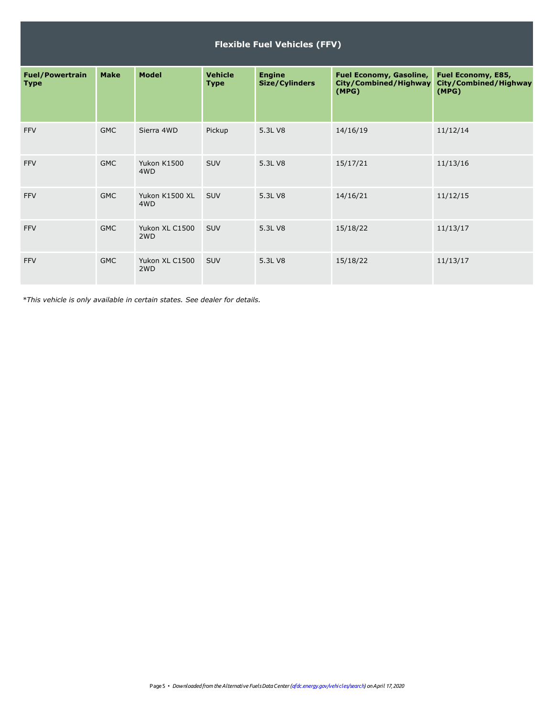|                                       | <b>Flexible Fuel Vehicles (FFV)</b> |                                    |                               |                                        |                                                                  |                                                      |  |  |
|---------------------------------------|-------------------------------------|------------------------------------|-------------------------------|----------------------------------------|------------------------------------------------------------------|------------------------------------------------------|--|--|
| <b>Fuel/Powertrain</b><br><b>Type</b> | <b>Make</b>                         | <b>Model</b>                       | <b>Vehicle</b><br><b>Type</b> | <b>Engine</b><br><b>Size/Cylinders</b> | <b>Fuel Economy, Gasoline,</b><br>City/Combined/Highway<br>(MPG) | Fuel Economy, E85,<br>City/Combined/Highway<br>(MPG) |  |  |
| <b>FFV</b>                            | <b>GMC</b>                          | Sierra 4WD                         | Pickup                        | 5.3L V8                                | 14/16/19                                                         | 11/12/14                                             |  |  |
| <b>FFV</b>                            | <b>GMC</b>                          | Yukon K1500<br>4WD                 | SUV                           | 5.3L V8                                | 15/17/21                                                         | 11/13/16                                             |  |  |
| <b>FFV</b>                            | <b>GMC</b>                          | Yukon K1500 XL<br>4WD              | <b>SUV</b>                    | 5.3L V8                                | 14/16/21                                                         | 11/12/15                                             |  |  |
| <b>FFV</b>                            | <b>GMC</b>                          | Yukon XL C1500<br>2 <sub>W</sub> D | <b>SUV</b>                    | 5.3L V8                                | 15/18/22                                                         | 11/13/17                                             |  |  |
| <b>FFV</b>                            | <b>GMC</b>                          | Yukon XL C1500<br>2WD              | <b>SUV</b>                    | 5.3L V8                                | 15/18/22                                                         | 11/13/17                                             |  |  |

*\*This vehicle is only available in certain states. See dealer for details.*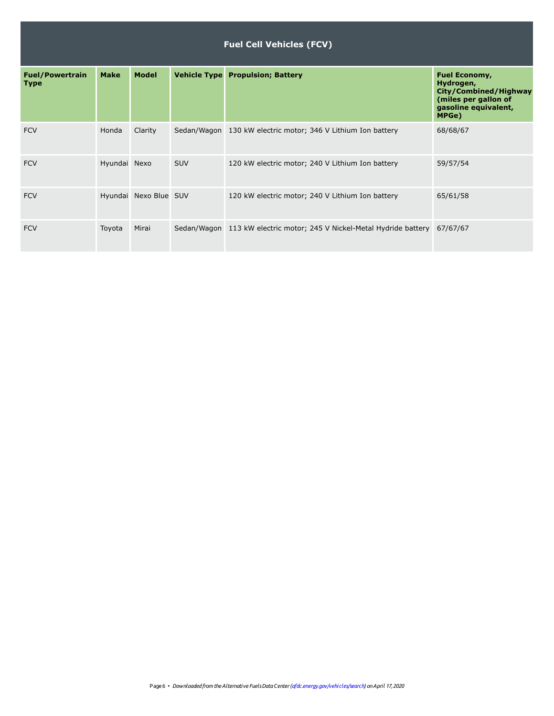|                                       |              |                       |            | <b>Fuel Cell Vehicles (FCV)</b>                                       |                                                                                                                     |
|---------------------------------------|--------------|-----------------------|------------|-----------------------------------------------------------------------|---------------------------------------------------------------------------------------------------------------------|
| <b>Fuel/Powertrain</b><br><b>Type</b> | <b>Make</b>  | <b>Model</b>          |            | <b>Vehicle Type Propulsion; Battery</b>                               | <b>Fuel Economy,</b><br>Hydrogen,<br>City/Combined/Highway<br>(miles per gallon of<br>gasoline equivalent,<br>MPGe) |
| <b>FCV</b>                            | Honda        | Clarity               |            | Sedan/Wagon 130 kW electric motor; 346 V Lithium Ion battery          | 68/68/67                                                                                                            |
| <b>FCV</b>                            | Hyundai Nexo |                       | <b>SUV</b> | 120 kW electric motor; 240 V Lithium Ion battery                      | 59/57/54                                                                                                            |
| <b>FCV</b>                            |              | Hyundai Nexo Blue SUV |            | 120 kW electric motor; 240 V Lithium Ion battery                      | 65/61/58                                                                                                            |
| <b>FCV</b>                            | Toyota       | Mirai                 |            | Sedan/Wagon 113 kW electric motor; 245 V Nickel-Metal Hydride battery | 67/67/67                                                                                                            |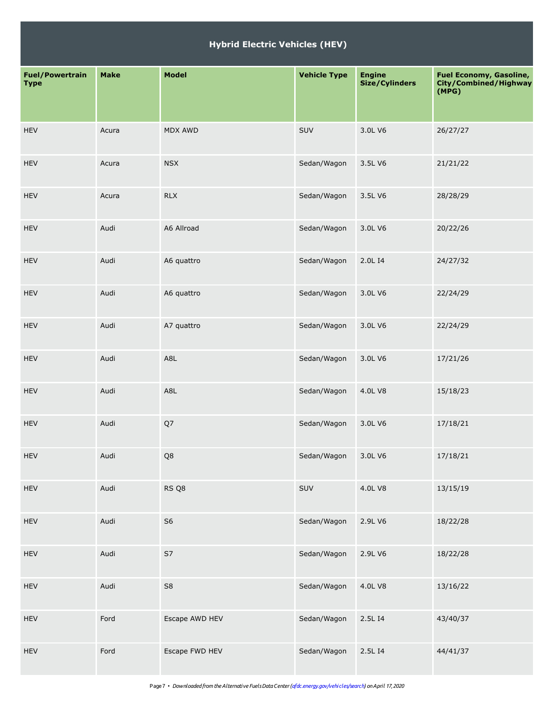| <b>Fuel/Powertrain</b><br><b>Type</b> | <b>Make</b> | <b>Model</b>   | <b>Vehicle Type</b> | <b>Engine</b><br><b>Size/Cylinders</b> | <b>Fuel Economy, Gasoline,</b><br>City/Combined/Highway<br>(MPG) |
|---------------------------------------|-------------|----------------|---------------------|----------------------------------------|------------------------------------------------------------------|
| <b>HEV</b>                            | Acura       | <b>MDX AWD</b> | SUV                 | 3.0L V6                                | 26/27/27                                                         |
| <b>HEV</b>                            | Acura       | <b>NSX</b>     | Sedan/Wagon         | 3.5L V6                                | 21/21/22                                                         |
| <b>HEV</b>                            | Acura       | <b>RLX</b>     | Sedan/Wagon         | 3.5L V6                                | 28/28/29                                                         |
| <b>HEV</b>                            | Audi        | A6 Allroad     | Sedan/Wagon         | 3.0L V6                                | 20/22/26                                                         |
| <b>HEV</b>                            | Audi        | A6 quattro     | Sedan/Wagon         | 2.0L I4                                | 24/27/32                                                         |
| <b>HEV</b>                            | Audi        | A6 quattro     | Sedan/Wagon         | 3.0L V6                                | 22/24/29                                                         |
| <b>HEV</b>                            | Audi        | A7 quattro     | Sedan/Wagon         | 3.0L V6                                | 22/24/29                                                         |
| <b>HEV</b>                            | Audi        | A8L            | Sedan/Wagon         | 3.0L V6                                | 17/21/26                                                         |
| <b>HEV</b>                            | Audi        | A8L            | Sedan/Wagon         | 4.0L V8                                | 15/18/23                                                         |
| <b>HEV</b>                            | Audi        | Q7             | Sedan/Wagon         | 3.0L V6                                | 17/18/21                                                         |
| <b>HEV</b>                            | Audi        | Q8             | Sedan/Wagon         | 3.0L V6                                | 17/18/21                                                         |
| HEV                                   | Audi        | RS Q8          | SUV                 | 4.0L V8                                | 13/15/19                                                         |
| HEV                                   | Audi        | S <sub>6</sub> | Sedan/Wagon         | 2.9L V6                                | 18/22/28                                                         |
| HEV                                   | Audi        | S7             | Sedan/Wagon         | 2.9L V6                                | 18/22/28                                                         |
| HEV                                   | Audi        | ${\sf S8}$     | Sedan/Wagon         | 4.0L V8                                | 13/16/22                                                         |
| HEV                                   | Ford        | Escape AWD HEV | Sedan/Wagon         | 2.5L I4                                | 43/40/37                                                         |
| HEV                                   | Ford        | Escape FWD HEV | Sedan/Wagon         | 2.5L I4                                | 44/41/37                                                         |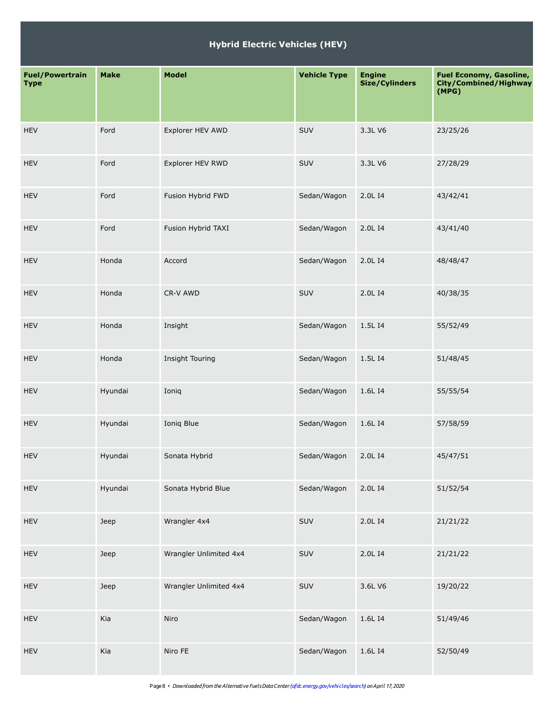| <b>Fuel/Powertrain</b><br><b>Type</b> | <b>Make</b> | <b>Model</b>           | <b>Vehicle Type</b> | <b>Engine</b><br><b>Size/Cylinders</b> | <b>Fuel Economy, Gasoline,</b><br>City/Combined/Highway<br>(MPG) |
|---------------------------------------|-------------|------------------------|---------------------|----------------------------------------|------------------------------------------------------------------|
| <b>HEV</b>                            | Ford        | Explorer HEV AWD       | SUV                 | 3.3L V6                                | 23/25/26                                                         |
| <b>HEV</b>                            | Ford        | Explorer HEV RWD       | SUV                 | 3.3L V6                                | 27/28/29                                                         |
| <b>HEV</b>                            | Ford        | Fusion Hybrid FWD      | Sedan/Wagon         | 2.0L I4                                | 43/42/41                                                         |
| <b>HEV</b>                            | Ford        | Fusion Hybrid TAXI     | Sedan/Wagon         | 2.0L I4                                | 43/41/40                                                         |
| <b>HEV</b>                            | Honda       | Accord                 | Sedan/Wagon         | 2.0L I4                                | 48/48/47                                                         |
| <b>HEV</b>                            | Honda       | CR-V AWD               | SUV                 | 2.0L I4                                | 40/38/35                                                         |
| <b>HEV</b>                            | Honda       | Insight                | Sedan/Wagon         | 1.5L I4                                | 55/52/49                                                         |
| <b>HEV</b>                            | Honda       | Insight Touring        | Sedan/Wagon         | 1.5L I4                                | 51/48/45                                                         |
| <b>HEV</b>                            | Hyundai     | Ioniq                  | Sedan/Wagon         | 1.6L I4                                | 55/55/54                                                         |
| <b>HEV</b>                            | Hyundai     | Ioniq Blue             | Sedan/Wagon         | 1.6L I4                                | 57/58/59                                                         |
| <b>HEV</b>                            | Hyundai     | Sonata Hybrid          | Sedan/Wagon         | 2.0L I4                                | 45/47/51                                                         |
| HEV                                   | Hyundai     | Sonata Hybrid Blue     | Sedan/Wagon         | 2.0L I4                                | 51/52/54                                                         |
| <b>HEV</b>                            | Jeep        | Wrangler 4x4           | SUV                 | 2.0L I4                                | 21/21/22                                                         |
| <b>HEV</b>                            | Jeep        | Wrangler Unlimited 4x4 | SUV                 | 2.0L I4                                | 21/21/22                                                         |
| HEV                                   | Jeep        | Wrangler Unlimited 4x4 | SUV                 | 3.6L V6                                | 19/20/22                                                         |
| HEV                                   | Kia         | Niro                   | Sedan/Wagon         | 1.6L I4                                | 51/49/46                                                         |
| HEV                                   | Kia         | Niro FE                | Sedan/Wagon         | 1.6L I4                                | 52/50/49                                                         |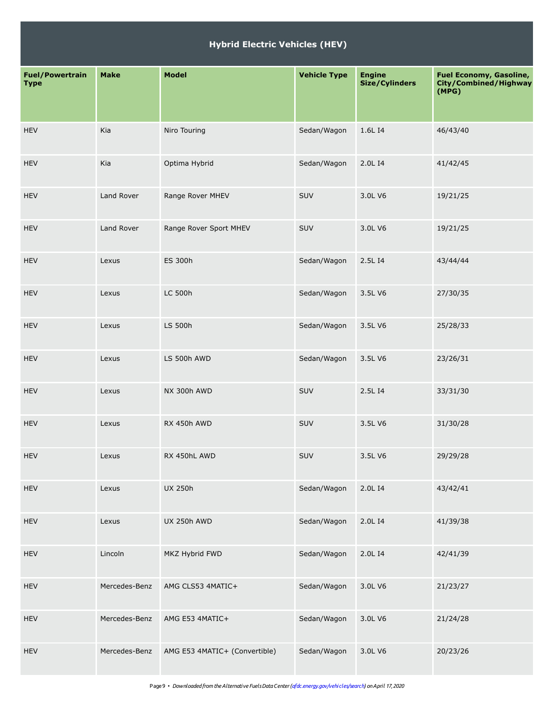| <b>Fuel/Powertrain</b><br><b>Type</b> | <b>Make</b>   | <b>Model</b>                  | <b>Vehicle Type</b> | <b>Engine</b><br><b>Size/Cylinders</b> | <b>Fuel Economy, Gasoline,</b><br>City/Combined/Highway<br>(MPG) |
|---------------------------------------|---------------|-------------------------------|---------------------|----------------------------------------|------------------------------------------------------------------|
| <b>HEV</b>                            | Kia           | Niro Touring                  | Sedan/Wagon         | 1.6L I4                                | 46/43/40                                                         |
| <b>HEV</b>                            | Kia           | Optima Hybrid                 | Sedan/Wagon         | 2.0L I4                                | 41/42/45                                                         |
| <b>HEV</b>                            | Land Rover    | Range Rover MHEV              | <b>SUV</b>          | 3.0L V6                                | 19/21/25                                                         |
| <b>HEV</b>                            | Land Rover    | Range Rover Sport MHEV        | SUV                 | 3.0L V6                                | 19/21/25                                                         |
| <b>HEV</b>                            | Lexus         | ES 300h                       | Sedan/Wagon         | 2.5L I4                                | 43/44/44                                                         |
| <b>HEV</b>                            | Lexus         | <b>LC 500h</b>                | Sedan/Wagon         | 3.5L V6                                | 27/30/35                                                         |
| <b>HEV</b>                            | Lexus         | LS 500h                       | Sedan/Wagon         | 3.5L V6                                | 25/28/33                                                         |
| <b>HEV</b>                            | Lexus         | LS 500h AWD                   | Sedan/Wagon         | 3.5L V6                                | 23/26/31                                                         |
| <b>HEV</b>                            | Lexus         | NX 300h AWD                   | <b>SUV</b>          | 2.5L I4                                | 33/31/30                                                         |
| <b>HEV</b>                            | Lexus         | RX 450h AWD                   | <b>SUV</b>          | 3.5L V6                                | 31/30/28                                                         |
| <b>HEV</b>                            | Lexus         | RX 450hL AWD                  | SUV                 | 3.5L V6                                | 29/29/28                                                         |
| <b>HEV</b>                            | Lexus         | <b>UX 250h</b>                | Sedan/Wagon         | 2.0L I4                                | 43/42/41                                                         |
| <b>HEV</b>                            | Lexus         | <b>UX 250h AWD</b>            | Sedan/Wagon         | 2.0L I4                                | 41/39/38                                                         |
| <b>HEV</b>                            | Lincoln       | MKZ Hybrid FWD                | Sedan/Wagon         | 2.0L I4                                | 42/41/39                                                         |
| <b>HEV</b>                            | Mercedes-Benz | AMG CLS53 4MATIC+             | Sedan/Wagon         | 3.0L V6                                | 21/23/27                                                         |
| <b>HEV</b>                            | Mercedes-Benz | AMG E53 4MATIC+               | Sedan/Wagon         | 3.0L V6                                | 21/24/28                                                         |
| <b>HEV</b>                            | Mercedes-Benz | AMG E53 4MATIC+ (Convertible) | Sedan/Wagon         | 3.0L V6                                | 20/23/26                                                         |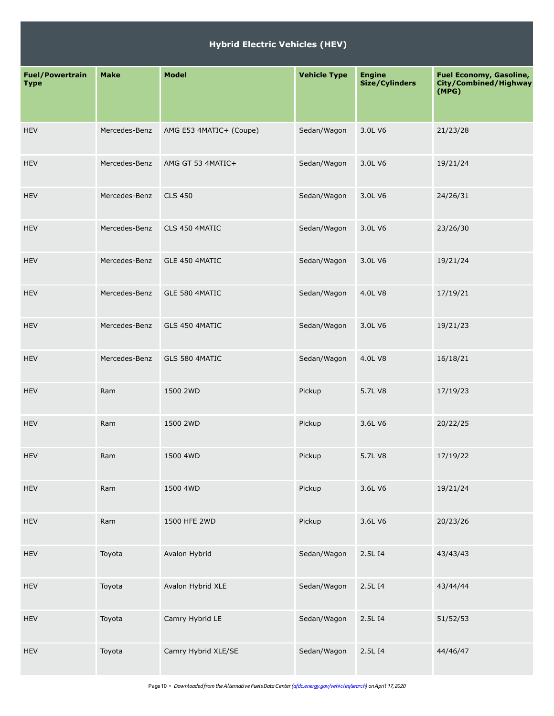| <b>Fuel/Powertrain</b><br><b>Type</b> | <b>Make</b>   | <b>Model</b>            | <b>Vehicle Type</b> | <b>Engine</b><br>Size/Cylinders | <b>Fuel Economy, Gasoline,</b><br>City/Combined/Highway<br>(MPG) |
|---------------------------------------|---------------|-------------------------|---------------------|---------------------------------|------------------------------------------------------------------|
| <b>HEV</b>                            | Mercedes-Benz | AMG E53 4MATIC+ (Coupe) | Sedan/Wagon         | 3.0L V6                         | 21/23/28                                                         |
| <b>HEV</b>                            | Mercedes-Benz | AMG GT 53 4MATIC+       | Sedan/Wagon         | 3.0L V6                         | 19/21/24                                                         |
| <b>HEV</b>                            | Mercedes-Benz | <b>CLS 450</b>          | Sedan/Wagon         | 3.0L V6                         | 24/26/31                                                         |
| <b>HEV</b>                            | Mercedes-Benz | CLS 450 4MATIC          | Sedan/Wagon         | 3.0L V6                         | 23/26/30                                                         |
| <b>HEV</b>                            | Mercedes-Benz | GLE 450 4MATIC          | Sedan/Wagon         | 3.0L V6                         | 19/21/24                                                         |
| <b>HEV</b>                            | Mercedes-Benz | GLE 580 4MATIC          | Sedan/Wagon         | 4.0L V8                         | 17/19/21                                                         |
| <b>HEV</b>                            | Mercedes-Benz | GLS 450 4MATIC          | Sedan/Wagon         | 3.0L V6                         | 19/21/23                                                         |
| <b>HEV</b>                            | Mercedes-Benz | GLS 580 4MATIC          | Sedan/Wagon         | 4.0L V8                         | 16/18/21                                                         |
| <b>HEV</b>                            | Ram           | 1500 2WD                | Pickup              | 5.7L V8                         | 17/19/23                                                         |
| <b>HEV</b>                            | Ram           | 1500 2WD                | Pickup              | 3.6L V6                         | 20/22/25                                                         |
| <b>HEV</b>                            | Ram           | 1500 4WD                | Pickup              | 5.7L V8                         | 17/19/22                                                         |
| <b>HEV</b>                            | Ram           | 1500 4WD                | Pickup              | 3.6L V6                         | 19/21/24                                                         |
| <b>HEV</b>                            | Ram           | 1500 HFE 2WD            | Pickup              | 3.6L V6                         | 20/23/26                                                         |
| <b>HEV</b>                            | Toyota        | Avalon Hybrid           | Sedan/Wagon         | 2.5L I4                         | 43/43/43                                                         |
| <b>HEV</b>                            | Toyota        | Avalon Hybrid XLE       | Sedan/Wagon         | 2.5L I4                         | 43/44/44                                                         |
| HEV                                   | Toyota        | Camry Hybrid LE         | Sedan/Wagon         | 2.5L I4                         | 51/52/53                                                         |
| <b>HEV</b>                            | Toyota        | Camry Hybrid XLE/SE     | Sedan/Wagon         | 2.5L I4                         | 44/46/47                                                         |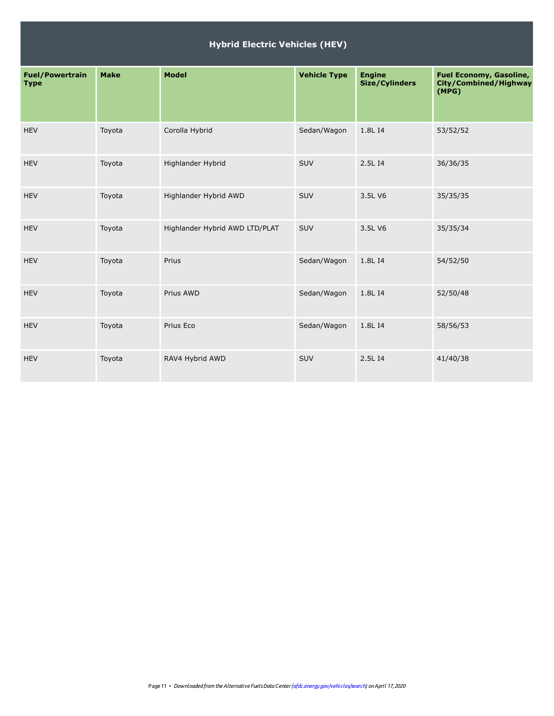| <b>Fuel/Powertrain</b><br><b>Type</b> | <b>Make</b> | <b>Model</b>                   | <b>Vehicle Type</b> | <b>Engine</b><br>Size/Cylinders | <b>Fuel Economy, Gasoline,</b><br>City/Combined/Highway<br>(MPG) |
|---------------------------------------|-------------|--------------------------------|---------------------|---------------------------------|------------------------------------------------------------------|
| <b>HEV</b>                            | Toyota      | Corolla Hybrid                 | Sedan/Wagon         | 1.8L I4                         | 53/52/52                                                         |
| <b>HEV</b>                            | Toyota      | Highlander Hybrid              | SUV                 | 2.5L I4                         | 36/36/35                                                         |
| <b>HEV</b>                            | Toyota      | Highlander Hybrid AWD          | <b>SUV</b>          | 3.5L V6                         | 35/35/35                                                         |
| <b>HEV</b>                            | Toyota      | Highlander Hybrid AWD LTD/PLAT | SUV                 | 3.5L V6                         | 35/35/34                                                         |
| <b>HEV</b>                            | Toyota      | Prius                          | Sedan/Wagon         | 1.8L I4                         | 54/52/50                                                         |
| <b>HEV</b>                            | Toyota      | Prius AWD                      | Sedan/Wagon         | 1.8L I4                         | 52/50/48                                                         |
| <b>HEV</b>                            | Toyota      | Prius Eco                      | Sedan/Wagon         | 1.8L I4                         | 58/56/53                                                         |
| <b>HEV</b>                            | Toyota      | RAV4 Hybrid AWD                | SUV                 | 2.5L I4                         | 41/40/38                                                         |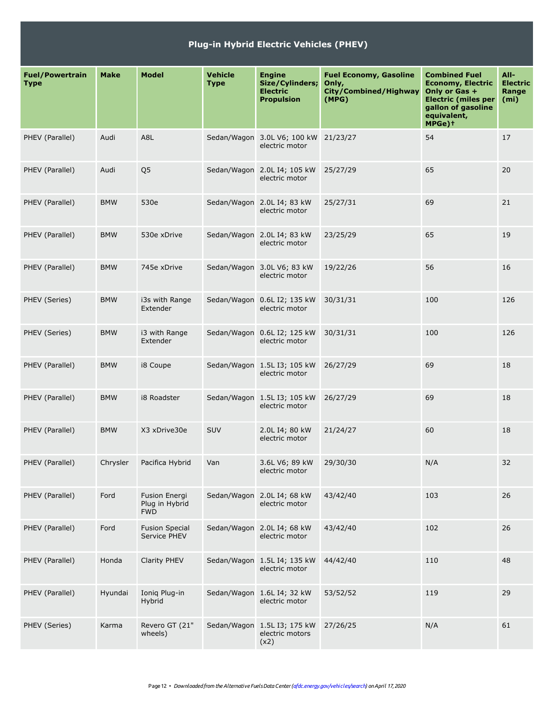|                                       | <b>Plug-in Hybrid Electric Vehicles (PHEV)</b> |                                                      |                               |                                                                          |                                                                                 |                                                                                                                                                |                                                       |  |  |
|---------------------------------------|------------------------------------------------|------------------------------------------------------|-------------------------------|--------------------------------------------------------------------------|---------------------------------------------------------------------------------|------------------------------------------------------------------------------------------------------------------------------------------------|-------------------------------------------------------|--|--|
| <b>Fuel/Powertrain</b><br><b>Type</b> | <b>Make</b>                                    | <b>Model</b>                                         | <b>Vehicle</b><br><b>Type</b> | <b>Engine</b><br>Size/Cylinders;<br><b>Electric</b><br><b>Propulsion</b> | <b>Fuel Economy, Gasoline</b><br>Only,<br><b>City/Combined/Highway</b><br>(MPG) | <b>Combined Fuel</b><br><b>Economy, Electric</b><br>Only or Gas +<br><b>Electric (miles per</b><br>gallon of gasoline<br>equivalent,<br>MPGe)+ | All-<br><b>Electric</b><br>Range<br>(m <sub>i</sub> ) |  |  |
| PHEV (Parallel)                       | Audi                                           | A8L                                                  |                               | Sedan/Wagon 3.0L V6; 100 kW<br>electric motor                            | 21/23/27                                                                        | 54                                                                                                                                             | 17                                                    |  |  |
| PHEV (Parallel)                       | Audi                                           | Q <sub>5</sub>                                       |                               | Sedan/Wagon 2.0L I4; 105 kW<br>electric motor                            | 25/27/29                                                                        | 65                                                                                                                                             | 20                                                    |  |  |
| PHEV (Parallel)                       | <b>BMW</b>                                     | 530e                                                 |                               | Sedan/Wagon 2.0L I4; 83 kW<br>electric motor                             | 25/27/31                                                                        | 69                                                                                                                                             | 21                                                    |  |  |
| PHEV (Parallel)                       | <b>BMW</b>                                     | 530e xDrive                                          |                               | Sedan/Wagon 2.0L I4; 83 kW<br>electric motor                             | 23/25/29                                                                        | 65                                                                                                                                             | 19                                                    |  |  |
| PHEV (Parallel)                       | <b>BMW</b>                                     | 745e xDrive                                          |                               | Sedan/Wagon 3.0L V6; 83 kW<br>electric motor                             | 19/22/26                                                                        | 56                                                                                                                                             | 16                                                    |  |  |
| PHEV (Series)                         | <b>BMW</b>                                     | i3s with Range<br>Extender                           |                               | Sedan/Wagon 0.6L I2; 135 kW<br>electric motor                            | 30/31/31                                                                        | 100                                                                                                                                            | 126                                                   |  |  |
| PHEV (Series)                         | <b>BMW</b>                                     | i3 with Range<br>Extender                            |                               | Sedan/Wagon 0.6L I2; 125 kW<br>electric motor                            | 30/31/31                                                                        | 100                                                                                                                                            | 126                                                   |  |  |
| PHEV (Parallel)                       | <b>BMW</b>                                     | i8 Coupe                                             |                               | Sedan/Wagon 1.5L I3; 105 kW<br>electric motor                            | 26/27/29                                                                        | 69                                                                                                                                             | 18                                                    |  |  |
| PHEV (Parallel)                       | <b>BMW</b>                                     | i8 Roadster                                          |                               | Sedan/Wagon 1.5L I3; 105 kW<br>electric motor                            | 26/27/29                                                                        | 69                                                                                                                                             | 18                                                    |  |  |
| PHEV (Parallel)                       | <b>BMW</b>                                     | X3 xDrive30e                                         | <b>SUV</b>                    | 2.0L I4; 80 kW<br>electric motor                                         | 21/24/27                                                                        | 60                                                                                                                                             | 18                                                    |  |  |
| PHEV (Parallel)                       | Chrysler                                       | Pacifica Hybrid                                      | Van                           | 3.6L V6; 89 kW<br>electric motor                                         | 29/30/30                                                                        | N/A                                                                                                                                            | 32                                                    |  |  |
| PHEV (Parallel)                       | Ford                                           | <b>Fusion Energi</b><br>Plug in Hybrid<br><b>FWD</b> |                               | Sedan/Wagon 2.0L I4; 68 kW<br>electric motor                             | 43/42/40                                                                        | 103                                                                                                                                            | 26                                                    |  |  |
| PHEV (Parallel)                       | Ford                                           | <b>Fusion Special</b><br>Service PHEV                |                               | Sedan/Wagon 2.0L I4; 68 kW<br>electric motor                             | 43/42/40                                                                        | 102                                                                                                                                            | 26                                                    |  |  |
| PHEV (Parallel)                       | Honda                                          | Clarity PHEV                                         |                               | Sedan/Wagon 1.5L I4; 135 kW<br>electric motor                            | 44/42/40                                                                        | 110                                                                                                                                            | 48                                                    |  |  |
| PHEV (Parallel)                       | Hyundai                                        | Ionig Plug-in<br>Hybrid                              |                               | Sedan/Wagon 1.6L I4; 32 kW<br>electric motor                             | 53/52/52                                                                        | 119                                                                                                                                            | 29                                                    |  |  |
| PHEV (Series)                         | Karma                                          | Revero GT (21"<br>wheels)                            |                               | Sedan/Wagon 1.5L I3; 175 kW<br>electric motors<br>(x2)                   | 27/26/25                                                                        | N/A                                                                                                                                            | 61                                                    |  |  |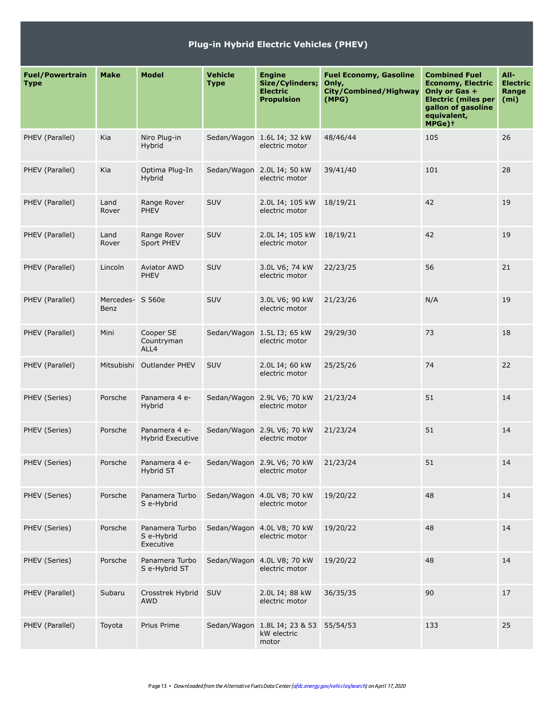| <b>Plug-in Hybrid Electric Vehicles (PHEV)</b> |                   |                                           |                               |                                                                          |                                                                          |                                                                                                                                                |                                                       |  |  |  |  |  |
|------------------------------------------------|-------------------|-------------------------------------------|-------------------------------|--------------------------------------------------------------------------|--------------------------------------------------------------------------|------------------------------------------------------------------------------------------------------------------------------------------------|-------------------------------------------------------|--|--|--|--|--|
| <b>Fuel/Powertrain</b><br><b>Type</b>          | <b>Make</b>       | <b>Model</b>                              | <b>Vehicle</b><br><b>Type</b> | <b>Engine</b><br>Size/Cylinders;<br><b>Electric</b><br><b>Propulsion</b> | <b>Fuel Economy, Gasoline</b><br>Only,<br>City/Combined/Highway<br>(MPG) | <b>Combined Fuel</b><br><b>Economy, Electric</b><br>Only or Gas +<br><b>Electric (miles per</b><br>gallon of gasoline<br>equivalent,<br>MPGe)+ | All-<br><b>Electric</b><br>Range<br>(m <sub>i</sub> ) |  |  |  |  |  |
| PHEV (Parallel)                                | Kia               | Niro Plug-in<br>Hybrid                    |                               | Sedan/Wagon 1.6L I4; 32 kW<br>electric motor                             | 48/46/44                                                                 | 105                                                                                                                                            | 26                                                    |  |  |  |  |  |
| PHEV (Parallel)                                | Kia               | Optima Plug-In<br>Hybrid                  |                               | Sedan/Wagon 2.0L I4; 50 kW<br>electric motor                             | 39/41/40                                                                 | 101                                                                                                                                            | 28                                                    |  |  |  |  |  |
| PHEV (Parallel)                                | Land<br>Rover     | Range Rover<br><b>PHEV</b>                | SUV                           | 2.0L I4; 105 kW<br>electric motor                                        | 18/19/21                                                                 | 42                                                                                                                                             | 19                                                    |  |  |  |  |  |
| PHEV (Parallel)                                | Land<br>Rover     | Range Rover<br>Sport PHEV                 | SUV                           | 2.0L I4; 105 kW<br>electric motor                                        | 18/19/21                                                                 | 42                                                                                                                                             | 19                                                    |  |  |  |  |  |
| PHEV (Parallel)                                | Lincoln           | <b>Aviator AWD</b><br><b>PHEV</b>         | SUV                           | 3.0L V6; 74 kW<br>electric motor                                         | 22/23/25                                                                 | 56                                                                                                                                             | 21                                                    |  |  |  |  |  |
| PHEV (Parallel)                                | Mercedes-<br>Benz | S 560e                                    | SUV                           | 3.0L V6; 90 kW<br>electric motor                                         | 21/23/26                                                                 | N/A                                                                                                                                            | 19                                                    |  |  |  |  |  |
| PHEV (Parallel)                                | Mini              | Cooper SE<br>Countryman<br>ALL4           |                               | Sedan/Wagon 1.5L I3; 65 kW<br>electric motor                             | 29/29/30                                                                 | 73                                                                                                                                             | 18                                                    |  |  |  |  |  |
| PHEV (Parallel)                                | Mitsubishi        | <b>Outlander PHEV</b>                     | SUV                           | 2.0L I4; 60 kW<br>electric motor                                         | 25/25/26                                                                 | 74                                                                                                                                             | 22                                                    |  |  |  |  |  |
| PHEV (Series)                                  | Porsche           | Panamera 4 e-<br>Hybrid                   |                               | Sedan/Wagon 2.9L V6; 70 kW<br>electric motor                             | 21/23/24                                                                 | 51                                                                                                                                             | 14                                                    |  |  |  |  |  |
| PHEV (Series)                                  | Porsche           | Panamera 4 e-<br><b>Hybrid Executive</b>  |                               | Sedan/Wagon 2.9L V6; 70 kW<br>electric motor                             | 21/23/24                                                                 | 51                                                                                                                                             | 14                                                    |  |  |  |  |  |
| PHEV (Series)                                  | Porsche           | Panamera 4 e-<br>Hybrid ST                |                               | Sedan/Wagon 2.9L V6; 70 kW<br>electric motor                             | 21/23/24                                                                 | 51                                                                                                                                             | 14                                                    |  |  |  |  |  |
| PHEV (Series)                                  | Porsche           | Panamera Turbo<br>S e-Hybrid              |                               | Sedan/Wagon 4.0L V8; 70 kW<br>electric motor                             | 19/20/22                                                                 | 48                                                                                                                                             | 14                                                    |  |  |  |  |  |
| PHEV (Series)                                  | Porsche           | Panamera Turbo<br>S e-Hybrid<br>Executive |                               | Sedan/Wagon 4.0L V8; 70 kW<br>electric motor                             | 19/20/22                                                                 | 48                                                                                                                                             | 14                                                    |  |  |  |  |  |
| PHEV (Series)                                  | Porsche           | Panamera Turbo<br>S e-Hybrid ST           |                               | Sedan/Wagon 4.0L V8; 70 kW<br>electric motor                             | 19/20/22                                                                 | 48                                                                                                                                             | 14                                                    |  |  |  |  |  |
| PHEV (Parallel)                                | Subaru            | Crosstrek Hybrid<br>AWD                   | SUV                           | 2.0L I4; 88 kW<br>electric motor                                         | 36/35/35                                                                 | 90                                                                                                                                             | 17                                                    |  |  |  |  |  |
| PHEV (Parallel)                                | Toyota            | Prius Prime                               |                               | Sedan/Wagon 1.8L I4; 23 & 53<br>kW electric<br>motor                     | 55/54/53                                                                 | 133                                                                                                                                            | 25                                                    |  |  |  |  |  |